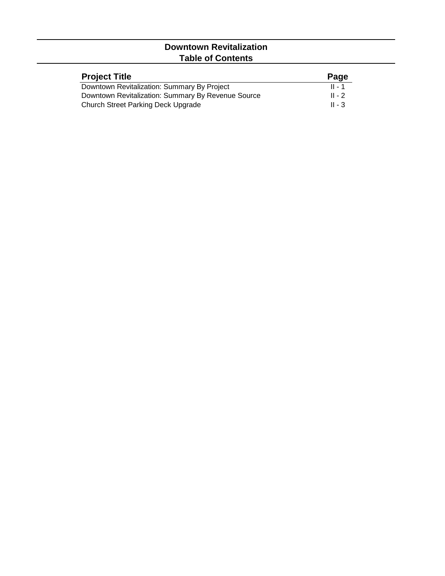## **Downtown Revitalization Table of Contents**

| <b>Project Title</b>                               | Page     |
|----------------------------------------------------|----------|
| Downtown Revitalization: Summary By Project        | $II - 1$ |
| Downtown Revitalization: Summary By Revenue Source | $II - 2$ |
| Church Street Parking Deck Upgrade                 | $II - 3$ |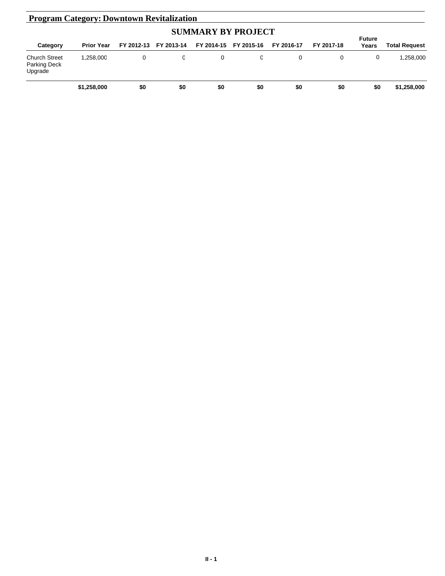| <b>Program Category: Downtown Revitalization</b>       |                   |            |            |            |            |            |            |                        |                      |
|--------------------------------------------------------|-------------------|------------|------------|------------|------------|------------|------------|------------------------|----------------------|
| <b>SUMMARY BY PROJECT</b>                              |                   |            |            |            |            |            |            |                        |                      |
| Category                                               | <b>Prior Year</b> | FY 2012-13 | FY 2013-14 | FY 2014-15 | FY 2015-16 | FY 2016-17 | FY 2017-18 | <b>Future</b><br>Years | <b>Total Request</b> |
| <b>Church Street</b><br><b>Parking Deck</b><br>Upgrade | 1.258.000         | 0          | 0          | 0          | 0          | 0          | 0          | 0                      | 1.258.000            |
|                                                        | \$1,258,000       | \$0        | \$0        | \$0        | \$0        | \$0        | \$0        | \$0                    | \$1,258,000          |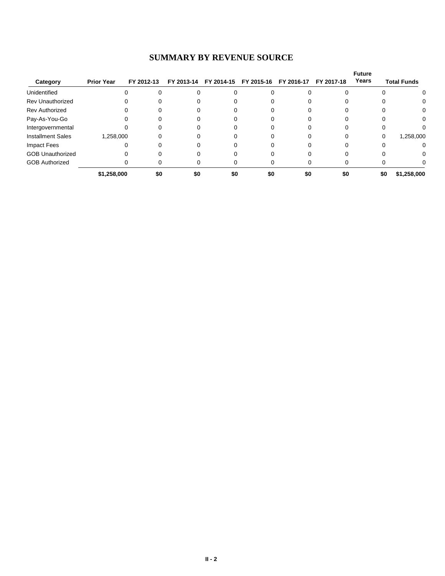## **SUMMARY BY REVENUE SOURCE**

|                          |                   |            |            |            |            |            |            | <b>Future</b> |                    |
|--------------------------|-------------------|------------|------------|------------|------------|------------|------------|---------------|--------------------|
| Category                 | <b>Prior Year</b> | FY 2012-13 | FY 2013-14 | FY 2014-15 | FY 2015-16 | FY 2016-17 | FY 2017-18 | Years         | <b>Total Funds</b> |
| Unidentified             |                   |            |            | 0          |            |            |            |               | 0                  |
| <b>Rev Unauthorized</b>  | 0                 |            |            |            |            |            |            |               | 0                  |
| <b>Rev Authorized</b>    | 0                 |            |            |            |            |            |            |               | 0                  |
| Pay-As-You-Go            |                   |            |            |            |            |            |            |               | 0                  |
| Intergovernmental        |                   |            |            |            |            |            |            |               |                    |
| <b>Installment Sales</b> | 1,258,000         |            |            |            |            |            | 0          | 0             | 1,258,000          |
| Impact Fees              |                   |            |            |            |            |            | 0          |               | 0                  |
| <b>GOB Unauthorized</b>  |                   |            |            |            |            |            |            |               | 0                  |
| <b>GOB Authorized</b>    |                   |            |            |            |            |            |            |               |                    |
|                          | \$1,258,000       | \$0        | \$0        | \$0        | \$0        | \$0        | \$0        | \$0           | \$1,258,000        |